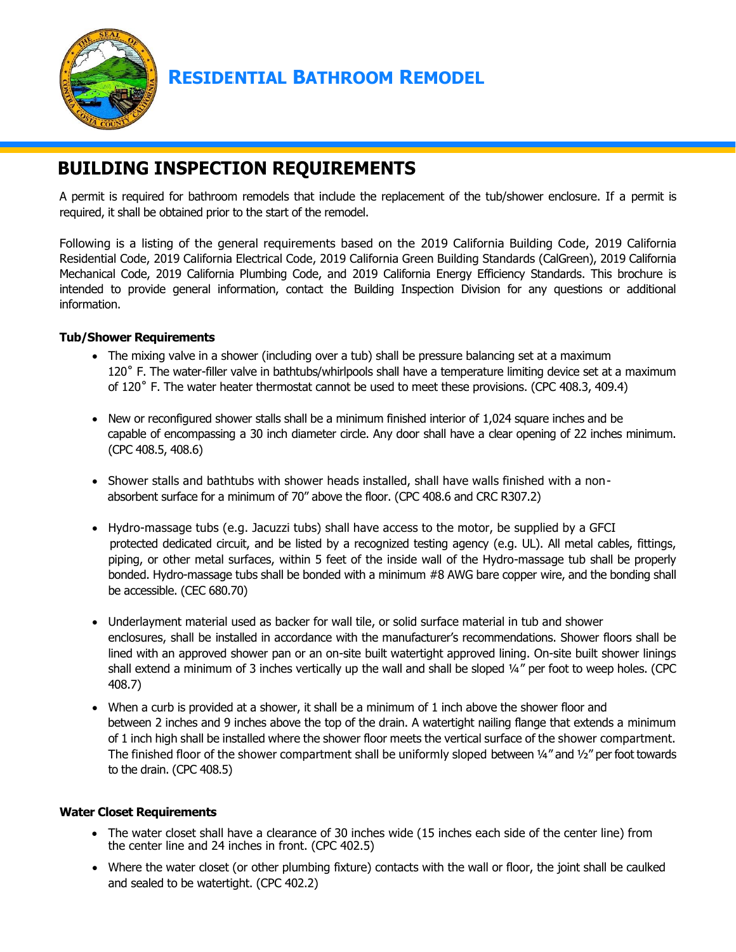

## **RESIDENTIAL BATHROOM REMODEL**

# **BUILDING INSPECTION REQUIREMENTS**

A permit is required for bathroom remodels that include the replacement of the tub/shower enclosure. If a permit is required, it shall be obtained prior to the start of the remodel.

Following is a listing of the general requirements based on the 2019 California Building Code, 2019 California Residential Code, 2019 California Electrical Code, 2019 California Green Building Standards (CalGreen), 2019 California Mechanical Code, 2019 California Plumbing Code, and 2019 California Energy Efficiency Standards. This brochure is intended to provide general information, contact the Building Inspection Division for any questions or additional information.

#### **Tub/Shower Requirements**

- The mixing valve in a shower (including over a tub) shall be pressure balancing set at a maximum 120˚ F. The water-filler valve in bathtubs/whirlpools shall have a temperature limiting device set at a maximum of 120˚ F. The water heater thermostat cannot be used to meet these provisions. (CPC 408.3, 409.4)
- New or reconfigured shower stalls shall be a minimum finished interior of 1,024 square inches and be capable of encompassing a 30 inch diameter circle. Any door shall have a clear opening of 22 inches minimum. (CPC 408.5, 408.6)
- Shower stalls and bathtubs with shower heads installed, shall have walls finished with a non absorbent surface for a minimum of 70" above the floor. (CPC 408.6 and CRC R307.2)
- Hydro-massage tubs (e.g. Jacuzzi tubs) shall have access to the motor, be supplied by a GFCI protected dedicated circuit, and be listed by a recognized testing agency (e.g. UL). All metal cables, fittings, piping, or other metal surfaces, within 5 feet of the inside wall of the Hydro-massage tub shall be properly bonded. Hydro-massage tubs shall be bonded with a minimum #8 AWG bare copper wire, and the bonding shall be accessible. (CEC 680.70)
- Underlayment material used as backer for wall tile, or solid surface material in tub and shower enclosures, shall be installed in accordance with the manufacturer's recommendations. Shower floors shall be lined with an approved shower pan or an on-site built watertight approved lining. On-site built shower linings shall extend a minimum of 3 inches vertically up the wall and shall be sloped ¼" per foot to weep holes. (CPC 408.7)
- When a curb is provided at a shower, it shall be a minimum of 1 inch above the shower floor and between 2 inches and 9 inches above the top of the drain. A watertight nailing flange that extends a minimum of 1 inch high shall be installed where the shower floor meets the vertical surface of the shower compartment. The finished floor of the shower compartment shall be uniformly sloped between 1/4" and 1/2" per foot towards to the drain. (CPC 408.5)

#### **Water Closet Requirements**

- The water closet shall have a clearance of 30 inches wide (15 inches each side of the center line) from the center line and 24 inches in front. (CPC 402.5)
- Where the water closet (or other plumbing fixture) contacts with the wall or floor, the joint shall be caulked and sealed to be watertight. (CPC 402.2)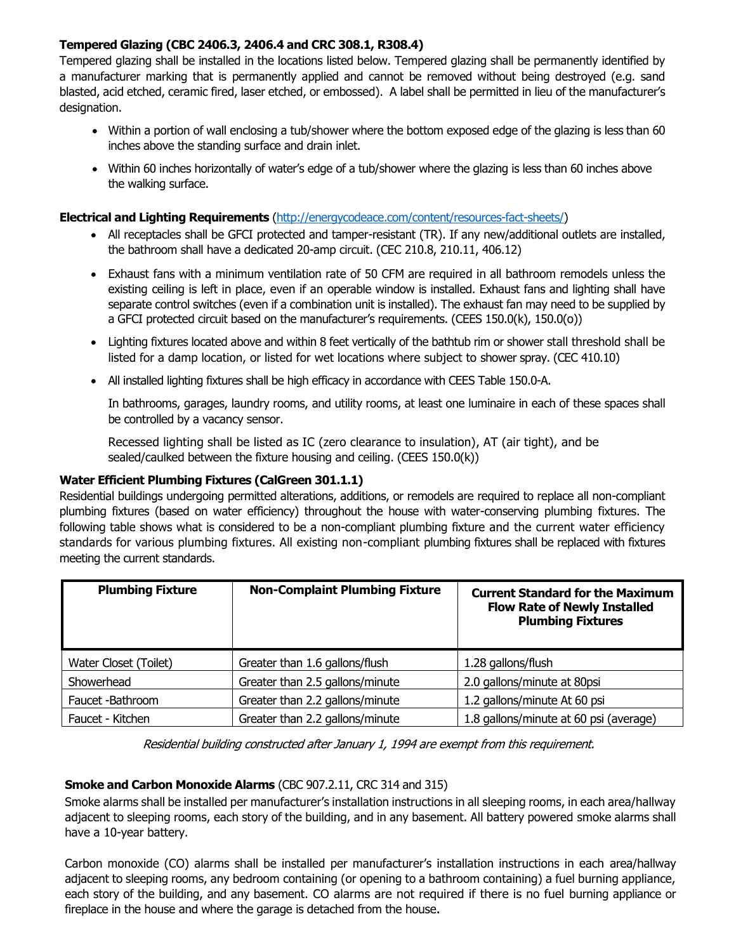### **Tempered Glazing (CBC 2406.3, 2406.4 and CRC 308.1, R308.4)**

Tempered glazing shall be installed in the locations listed below. Tempered glazing shall be permanently identified by a manufacturer marking that is permanently applied and cannot be removed without being destroyed (e.g. sand blasted, acid etched, ceramic fired, laser etched, or embossed). A label shall be permitted in lieu of the manufacturer's designation.

- Within a portion of wall enclosing a tub/shower where the bottom exposed edge of the glazing is less than 60 inches above the standing surface and drain inlet.
- Within 60 inches horizontally of water's edge of a tub/shower where the glazing is less than 60 inches above the walking surface.

#### **Electrical and Lighting Requirements** [\(http://energycodeace.com/content/resources-fact-sheets/\)](http://energycodeace.com/content/resources-fact-sheets/)

- All receptacles shall be GFCI protected and tamper-resistant (TR). If any new/additional outlets are installed, the bathroom shall have a dedicated 20-amp circuit. (CEC 210.8, 210.11, 406.12)
- Exhaust fans with a minimum ventilation rate of 50 CFM are required in all bathroom remodels unless the existing ceiling is left in place, even if an operable window is installed. Exhaust fans and lighting shall have separate control switches (even if a combination unit is installed). The exhaust fan may need to be supplied by a GFCI protected circuit based on the manufacturer's requirements. (CEES 150.0(k), 150.0(o))
- Lighting fixtures located above and within 8 feet vertically of the bathtub rim or shower stall threshold shall be listed for a damp location, or listed for wet locations where subject to shower spray. (CEC 410.10)
- All installed lighting fixtures shall be high efficacy in accordance with CEES Table 150.0-A.

In bathrooms, garages, laundry rooms, and utility rooms, at least one luminaire in each of these spaces shall be controlled by a vacancy sensor.

Recessed lighting shall be listed as IC (zero clearance to insulation), AT (air tight), and be sealed/caulked between the fixture housing and ceiling. (CEES 150.0(k))

#### **Water Efficient Plumbing Fixtures (CalGreen 301.1.1)**

Residential buildings undergoing permitted alterations, additions, or remodels are required to replace all non-compliant plumbing fixtures (based on water efficiency) throughout the house with water-conserving plumbing fixtures. The following table shows what is considered to be a non-compliant plumbing fixture and the current water efficiency standards for various plumbing fixtures. All existing non-compliant plumbing fixtures shall be replaced with fixtures meeting the current standards.

| <b>Plumbing Fixture</b> | <b>Non-Complaint Plumbing Fixture</b> | <b>Current Standard for the Maximum</b><br><b>Flow Rate of Newly Installed</b><br><b>Plumbing Fixtures</b> |
|-------------------------|---------------------------------------|------------------------------------------------------------------------------------------------------------|
| Water Closet (Toilet)   | Greater than 1.6 gallons/flush        | 1.28 gallons/flush                                                                                         |
| Showerhead              | Greater than 2.5 gallons/minute       | 2.0 gallons/minute at 80psi                                                                                |
| Faucet -Bathroom        | Greater than 2.2 gallons/minute       | 1.2 gallons/minute At 60 psi                                                                               |
| Faucet - Kitchen        | Greater than 2.2 gallons/minute       | 1.8 gallons/minute at 60 psi (average)                                                                     |

Residential building constructed after January 1, 1994 are exempt from this requirement.

#### **Smoke and Carbon Monoxide Alarms** (CBC 907.2.11, CRC 314 and 315)

Smoke alarms shall be installed per manufacturer's installation instructions in all sleeping rooms, in each area/hallway adjacent to sleeping rooms, each story of the building, and in any basement. All battery powered smoke alarms shall have a 10-year battery.

Carbon monoxide (CO) alarms shall be installed per manufacturer's installation instructions in each area/hallway adjacent to sleeping rooms, any bedroom containing (or opening to a bathroom containing) a fuel burning appliance, each story of the building, and any basement. CO alarms are not required if there is no fuel burning appliance or fireplace in the house and where the garage is detached from the house.